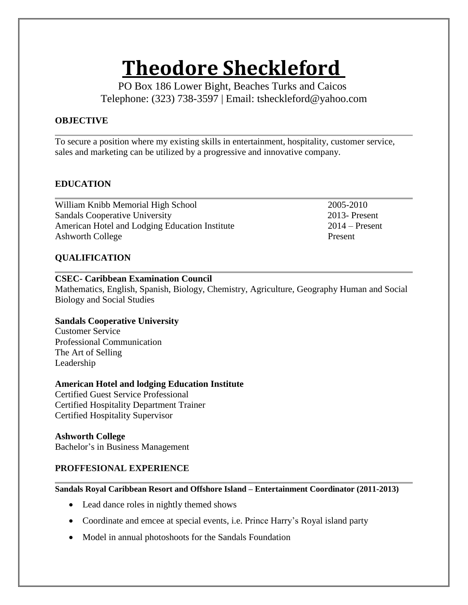# **Theodore Sheckleford**

PO Box 186 Lower Bight, Beaches Turks and Caicos Telephone: (323) 738-3597 | Email: tsheckleford@yahoo.com

# **OBJECTIVE**

To secure a position where my existing skills in entertainment, hospitality, customer service, sales and marketing can be utilized by a progressive and innovative company.

## **EDUCATION**

William Knibb Memorial High School 2005-2010 Sandals Cooperative University 2013- Present American Hotel and Lodging Education Institute 2014 – Present Ashworth CollegePresent

## **QUALIFICATION**

## **CSEC- Caribbean Examination Council**

Mathematics, English, Spanish, Biology, Chemistry, Agriculture, Geography Human and Social Biology and Social Studies

## **Sandals Cooperative University**

Customer Service Professional Communication The Art of Selling Leadership

## **American Hotel and lodging Education Institute**

Certified Guest Service Professional Certified Hospitality Department Trainer Certified Hospitality Supervisor

## **Ashworth College**

Bachelor's in Business Management

## **PROFFESIONAL EXPERIENCE**

#### **Sandals Royal Caribbean Resort and Offshore Island – Entertainment Coordinator (2011-2013)**

- Lead dance roles in nightly themed shows
- Coordinate and emcee at special events, i.e. Prince Harry's Royal island party
- Model in annual photoshoots for the Sandals Foundation